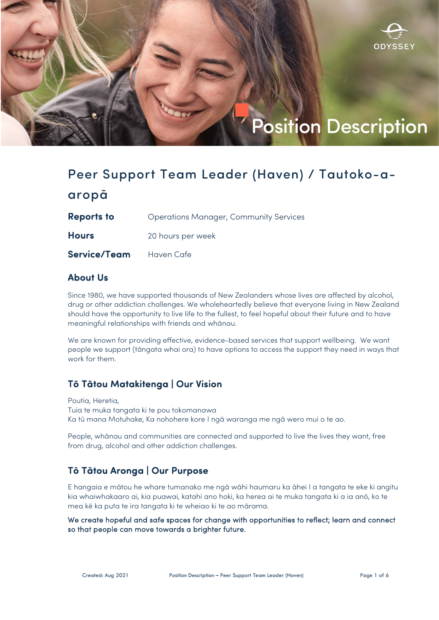

# Peer Support Team Leader (Haven) / Tautoko-aaropā

**Reports to** Operations Manager, Community Services

Hours 20 hours per week

Service/Team Haven Cafe

## About Us

Since 1980, we have supported thousands of New Zealanders whose lives are affected by alcohol, drug or other addiction challenges. We wholeheartedly believe that everyone living in New Zealand should have the opportunity to live life to the fullest, to feel hopeful about their future and to have meaningful relationships with friends and whānau.

We are known for providing effective, evidence-based services that support wellbeing. We want people we support (tāngata whai ora) to have options to access the support they need in ways that work for them.

## Tō Tātou Matakitenga | Our Vision

Poutia, Heretia, Tuia te muka tangata ki te pou tokomanawa Ka tū mana Motuhake, Ka nohohere kore I ngā waranga me ngā wero mui o te ao.

People, whānau and communities are connected and supported to live the lives they want, free from drug, alcohol and other addiction challenges.

## Tō Tātou Aronga | Our Purpose

E hangaia e mātou he whare tumanako me ngā wāhi haumaru ka āhei I a tangata te eke ki angitu kia whaiwhakaaro ai, kia puawai, katahi ano hoki, ka herea ai te muka tangata ki a ia anō, ko te mea kē ka puta te ira tangata ki te wheiao ki te ao mārama.

We create hopeful and safe spaces for change with opportunities to reflect; learn and connect so that people can move towards a brighter future.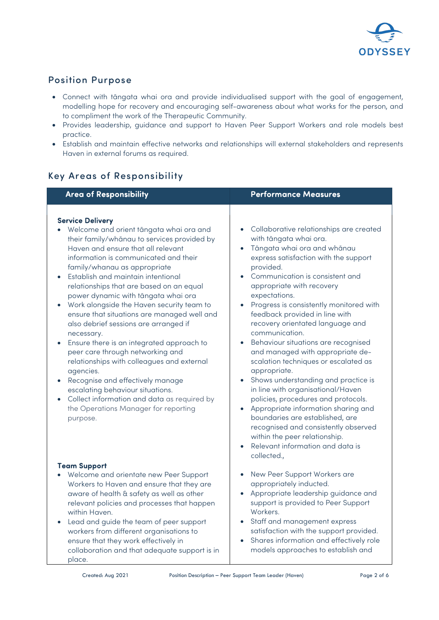

## Position Purpose

- Connect with tāngata whai ora and provide individualised support with the goal of engagement, modelling hope for recovery and encouraging self-awareness about what works for the person, and to compliment the work of the Therapeutic Community.
- Provides leadership, guidance and support to Haven Peer Support Workers and role models best practice.
- Establish and maintain effective networks and relationships will external stakeholders and represents Haven in external forums as required.

## Key Areas of Responsibility

| <b>Area of Responsibility</b>                                                                                                                                                                                                                                                                                                                                                                                                                                                                                                                                                                                                                                                                                                                                                                                                       | <b>Performance Measures</b>                                                                                                                                                                                                                                                                                                                                                                                                                                                                                                                                                                                                                                                                                                                                                                                                                                                   |
|-------------------------------------------------------------------------------------------------------------------------------------------------------------------------------------------------------------------------------------------------------------------------------------------------------------------------------------------------------------------------------------------------------------------------------------------------------------------------------------------------------------------------------------------------------------------------------------------------------------------------------------------------------------------------------------------------------------------------------------------------------------------------------------------------------------------------------------|-------------------------------------------------------------------------------------------------------------------------------------------------------------------------------------------------------------------------------------------------------------------------------------------------------------------------------------------------------------------------------------------------------------------------------------------------------------------------------------------------------------------------------------------------------------------------------------------------------------------------------------------------------------------------------------------------------------------------------------------------------------------------------------------------------------------------------------------------------------------------------|
| <b>Service Delivery</b><br>Welcome and orient tāngata whai ora and<br>their family/whānau to services provided by<br>Haven and ensure that all relevant<br>information is communicated and their<br>family/whanau as appropriate<br>Establish and maintain intentional<br>relationships that are based on an equal<br>power dynamic with tāngata whai ora<br>Work alongside the Haven security team to<br>ensure that situations are managed well and<br>also debrief sessions are arranged if<br>necessary.<br>Ensure there is an integrated approach to<br>peer care through networking and<br>relationships with colleagues and external<br>agencies.<br>Recognise and effectively manage<br>escalating behaviour situations.<br>Collect information and data as required by<br>the Operations Manager for reporting<br>purpose. | Collaborative relationships are created<br>$\bullet$<br>with tāngata whai ora.<br>Tāngata whai ora and whānau<br>$\bullet$<br>express satisfaction with the support<br>provided.<br>Communication is consistent and<br>appropriate with recovery<br>expectations.<br>Progress is consistently monitored with<br>$\bullet$<br>feedback provided in line with<br>recovery orientated language and<br>communication.<br>Behaviour situations are recognised<br>and managed with appropriate de-<br>scalation techniques or escalated as<br>appropriate.<br>Shows understanding and practice is<br>in line with organisational/Haven<br>policies, procedures and protocols.<br>Appropriate information sharing and<br>boundaries are established, are<br>recognised and consistently observed<br>within the peer relationship.<br>Relevant information and data is<br>collected., |
| <b>Team Support</b><br>Welcome and orientate new Peer Support<br>Workers to Haven and ensure that they are<br>aware of health & safety as well as other<br>relevant policies and processes that happen<br>within Haven.<br>Lead and guide the team of peer support<br>workers from different organisations to<br>ensure that they work effectively in<br>collaboration and that adequate support is in<br>place.                                                                                                                                                                                                                                                                                                                                                                                                                    | New Peer Support Workers are<br>appropriately inducted.<br>Appropriate leadership guidance and<br>support is provided to Peer Support<br>Workers.<br>Staff and management express<br>$\bullet$<br>satisfaction with the support provided.<br>Shares information and effectively role<br>models approaches to establish and                                                                                                                                                                                                                                                                                                                                                                                                                                                                                                                                                    |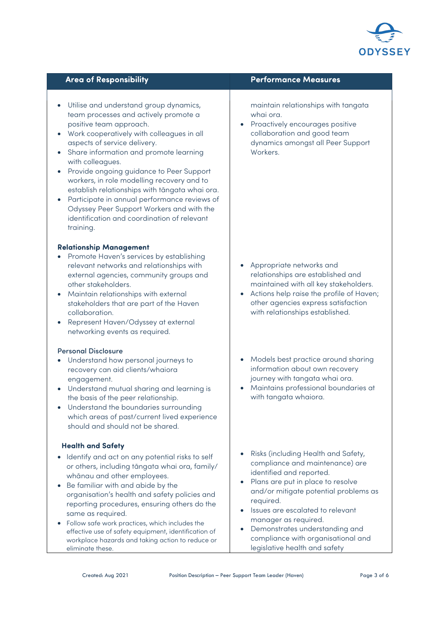

- Utilise and understand group dynamics, team processes and actively promote a positive team approach.
- Work cooperatively with colleagues in all aspects of service delivery.
- Share information and promote learning with colleagues.
- Provide ongoing guidance to Peer Support workers, in role modelling recovery and to establish relationships with tāngata whai ora.
- Participate in annual performance reviews of Odyssey Peer Support Workers and with the identification and coordination of relevant training.

#### Relationship Management

- Promote Haven's services by establishing relevant networks and relationships with external agencies, community groups and other stakeholders.
- Maintain relationships with external stakeholders that are part of the Haven collaboration.
- Represent Haven/Odyssey at external networking events as required.

#### Personal Disclosure

- Understand how personal journeys to recovery can aid clients/whaiora engagement.
- Understand mutual sharing and learning is the basis of the peer relationship.
- Understand the boundaries surrounding which areas of past/current lived experience should and should not be shared.

#### Health and Safety

- Identify and act on any potential risks to self or others, including tāngata whai ora, family/ whānau and other employees.
- Be familiar with and abide by the organisation's health and safety policies and reporting procedures, ensuring others do the same as required.
- Follow safe work practices, which includes the effective use of safety equipment, identification of workplace hazards and taking action to reduce or eliminate these.

#### Area of Responsibility **Area of Responsibility** Area Performance Measures

maintain relationships with tangata whai ora.

• Proactively encourages positive collaboration and good team dynamics amongst all Peer Support Workers.

- Appropriate networks and relationships are established and maintained with all key stakeholders.
- Actions help raise the profile of Haven; other agencies express satisfaction with relationships established.
- Models best practice around sharing information about own recovery journey with tangata whai ora.
- Maintains professional boundaries at with tangata whaiora.
- Risks (including Health and Safety, compliance and maintenance) are identified and reported.
- Plans are put in place to resolve and/or mitigate potential problems as required.
- Issues are escalated to relevant manager as required.
- Demonstrates understanding and compliance with organisational and legislative health and safety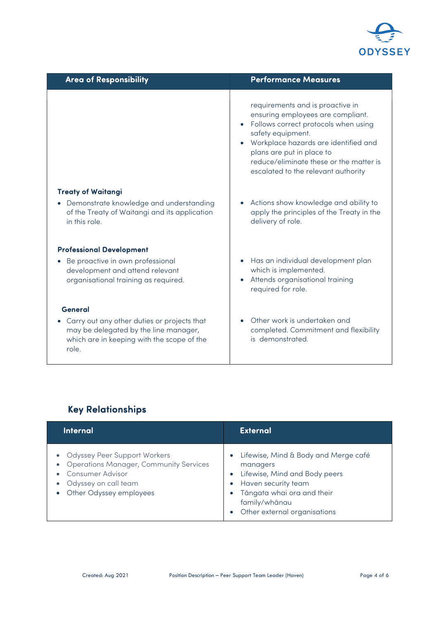

| <b>Area of Responsibility</b>                                                                                                               | <b>Performance Measures</b>                                                                                                                                                                                                                                                               |
|---------------------------------------------------------------------------------------------------------------------------------------------|-------------------------------------------------------------------------------------------------------------------------------------------------------------------------------------------------------------------------------------------------------------------------------------------|
|                                                                                                                                             | requirements and is proactive in<br>ensuring employees are compliant.<br>Follows correct protocols when using<br>safety equipment.<br>Workplace hazards are identified and<br>plans are put in place to<br>reduce/eliminate these or the matter is<br>escalated to the relevant authority |
| <b>Treaty of Waitangi</b><br>• Demonstrate knowledge and understanding<br>of the Treaty of Waitangi and its application                     | Actions show knowledge and ability to<br>apply the principles of the Treaty in the                                                                                                                                                                                                        |
| in this role.                                                                                                                               | delivery of role.                                                                                                                                                                                                                                                                         |
| <b>Professional Development</b>                                                                                                             |                                                                                                                                                                                                                                                                                           |
| • Be proactive in own professional<br>development and attend relevant<br>organisational training as required.                               | Has an individual development plan<br>which is implemented.<br>Attends organisational training<br>required for role.                                                                                                                                                                      |
| General                                                                                                                                     |                                                                                                                                                                                                                                                                                           |
| Carry out any other duties or projects that<br>may be delegated by the line manager,<br>which are in keeping with the scope of the<br>role. | Other work is undertaken and<br>completed. Commitment and flexibility<br>is demonstrated.                                                                                                                                                                                                 |

# Key Relationships

| <b>Internal</b>                                                                                                                                             | <b>External</b>                                                                                                                                                                                      |
|-------------------------------------------------------------------------------------------------------------------------------------------------------------|------------------------------------------------------------------------------------------------------------------------------------------------------------------------------------------------------|
| <b>Odyssey Peer Support Workers</b><br><b>Operations Manager, Community Services</b><br>Consumer Advisor<br>Odyssey on call team<br>Other Odyssey employees | Lifewise, Mind & Body and Merge café<br>$\bullet$<br>managers<br>Lifewise, Mind and Body peers<br>Haven security team<br>Tāngata whai ora and their<br>family/whānau<br>Other external organisations |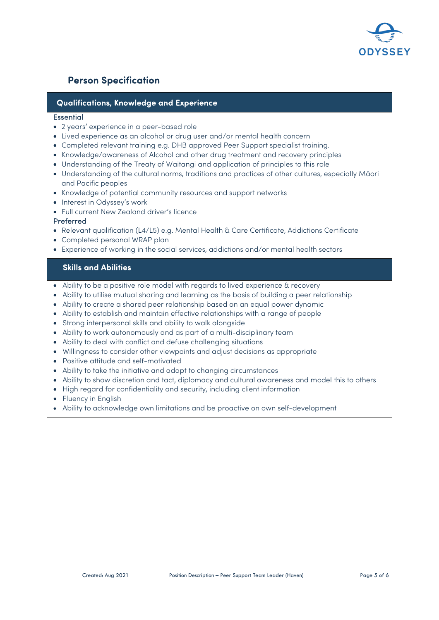

## Person Specification

### Qualifications, Knowledge and Experience

#### **Essential**

- 2 years' experience in a peer-based role
- Lived experience as an alcohol or drug user and/or mental health concern
- Completed relevant training e.g. DHB approved Peer Support specialist training.
- Knowledge/awareness of Alcohol and other drug treatment and recovery principles
- Understanding of the Treaty of Waitangi and application of principles to this role
- Understanding of the cultural norms, traditions and practices of other cultures, especially Māori and Pacific peoples
- Knowledge of potential community resources and support networks
- Interest in Odyssey's work
- Full current New Zealand driver's licence

#### Preferred

- Relevant qualification (L4/L5) e.g. Mental Health & Care Certificate, Addictions Certificate
- Completed personal WRAP plan
- Experience of working in the social services, addictions and/or mental health sectors

#### Skills and Abilities

- Ability to be a positive role model with regards to lived experience & recovery
- Ability to utilise mutual sharing and learning as the basis of building a peer relationship
- Ability to create a shared peer relationship based on an equal power dynamic
- Ability to establish and maintain effective relationships with a range of people
- Strong interpersonal skills and ability to walk alongside
- Ability to work autonomously and as part of a multi-disciplinary team
- Ability to deal with conflict and defuse challenging situations
- Willingness to consider other viewpoints and adjust decisions as appropriate
- Positive attitude and self-motivated
- Ability to take the initiative and adapt to changing circumstances
- Ability to show discretion and tact, diplomacy and cultural awareness and model this to others
- High regard for confidentiality and security, including client information
- Fluency in English
- Ability to acknowledge own limitations and be proactive on own self-development